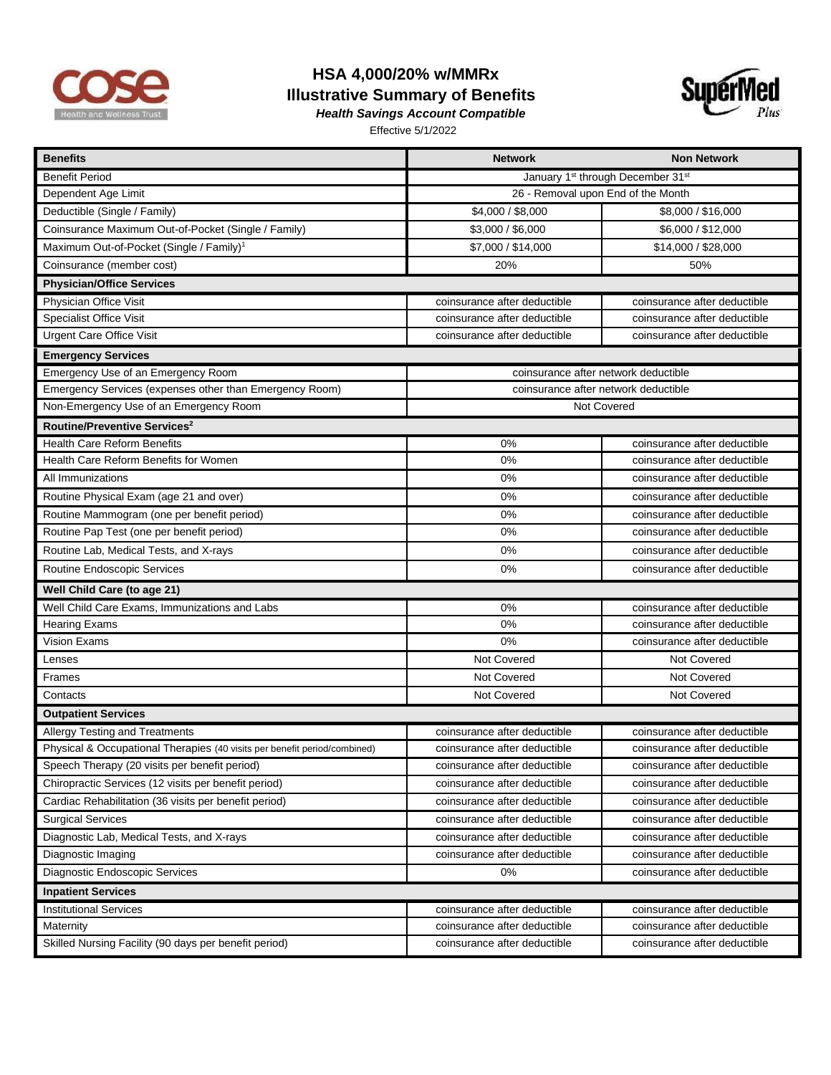

## **HSA 4,000/20% w/MMRx Illustrative Summary of Benefits**



*Health Savings Account Compatible*  Effective 5/1/2022

| <b>Benefits</b>                                                           | <b>Network</b>                       | <b>Non Network</b>           |  |
|---------------------------------------------------------------------------|--------------------------------------|------------------------------|--|
| <b>Benefit Period</b>                                                     | January 1st through December 31st    |                              |  |
| Dependent Age Limit                                                       | 26 - Removal upon End of the Month   |                              |  |
| Deductible (Single / Family)                                              | \$4,000 / \$8,000                    | \$8,000 / \$16,000           |  |
| Coinsurance Maximum Out-of-Pocket (Single / Family)                       | \$3,000 / \$6,000                    | \$6,000 / \$12,000           |  |
| Maximum Out-of-Pocket (Single / Family) <sup>1</sup>                      | \$7,000 / \$14,000                   | \$14,000 / \$28,000          |  |
| Coinsurance (member cost)                                                 | 20%                                  | 50%                          |  |
| <b>Physician/Office Services</b>                                          |                                      |                              |  |
| Physician Office Visit                                                    | coinsurance after deductible         | coinsurance after deductible |  |
| <b>Specialist Office Visit</b>                                            | coinsurance after deductible         | coinsurance after deductible |  |
| <b>Urgent Care Office Visit</b>                                           | coinsurance after deductible         | coinsurance after deductible |  |
| <b>Emergency Services</b>                                                 |                                      |                              |  |
| Emergency Use of an Emergency Room                                        | coinsurance after network deductible |                              |  |
| Emergency Services (expenses other than Emergency Room)                   | coinsurance after network deductible |                              |  |
| Non-Emergency Use of an Emergency Room                                    | Not Covered                          |                              |  |
| Routine/Preventive Services <sup>2</sup>                                  |                                      |                              |  |
| Health Care Reform Benefits                                               | 0%                                   | coinsurance after deductible |  |
| Health Care Reform Benefits for Women                                     | 0%                                   | coinsurance after deductible |  |
| All Immunizations                                                         | 0%                                   | coinsurance after deductible |  |
| Routine Physical Exam (age 21 and over)                                   | 0%                                   | coinsurance after deductible |  |
| Routine Mammogram (one per benefit period)                                | 0%                                   | coinsurance after deductible |  |
| Routine Pap Test (one per benefit period)                                 | 0%                                   | coinsurance after deductible |  |
| Routine Lab, Medical Tests, and X-rays                                    | 0%                                   | coinsurance after deductible |  |
| Routine Endoscopic Services                                               | 0%                                   | coinsurance after deductible |  |
| Well Child Care (to age 21)                                               |                                      |                              |  |
| Well Child Care Exams, Immunizations and Labs                             | 0%                                   | coinsurance after deductible |  |
| <b>Hearing Exams</b>                                                      | 0%                                   | coinsurance after deductible |  |
| Vision Exams                                                              | 0%                                   | coinsurance after deductible |  |
| Lenses                                                                    | Not Covered                          | Not Covered                  |  |
| Frames                                                                    | Not Covered                          | Not Covered                  |  |
| Contacts                                                                  | Not Covered                          | Not Covered                  |  |
| <b>Outpatient Services</b>                                                |                                      |                              |  |
| Allergy Testing and Treatments                                            | coinsurance after deductible         | coinsurance after deductible |  |
| Physical & Occupational Therapies (40 visits per benefit period/combined) | coinsurance after deductible         | coinsurance after deductible |  |
| Speech Therapy (20 visits per benefit period)                             | coinsurance after deductible         | coinsurance after deductible |  |
| Chiropractic Services (12 visits per benefit period)                      | coinsurance after deductible         | coinsurance after deductible |  |
| Cardiac Rehabilitation (36 visits per benefit period)                     | coinsurance after deductible         | coinsurance after deductible |  |
| Surgical Services                                                         | coinsurance after deductible         | coinsurance after deductible |  |
| Diagnostic Lab, Medical Tests, and X-rays                                 | coinsurance after deductible         | coinsurance after deductible |  |
| Diagnostic Imaging                                                        | coinsurance after deductible         | coinsurance after deductible |  |
| Diagnostic Endoscopic Services                                            | 0%                                   | coinsurance after deductible |  |
| <b>Inpatient Services</b>                                                 |                                      |                              |  |
| <b>Institutional Services</b>                                             | coinsurance after deductible         | coinsurance after deductible |  |
| Maternity                                                                 | coinsurance after deductible         | coinsurance after deductible |  |
| Skilled Nursing Facility (90 days per benefit period)                     | coinsurance after deductible         | coinsurance after deductible |  |